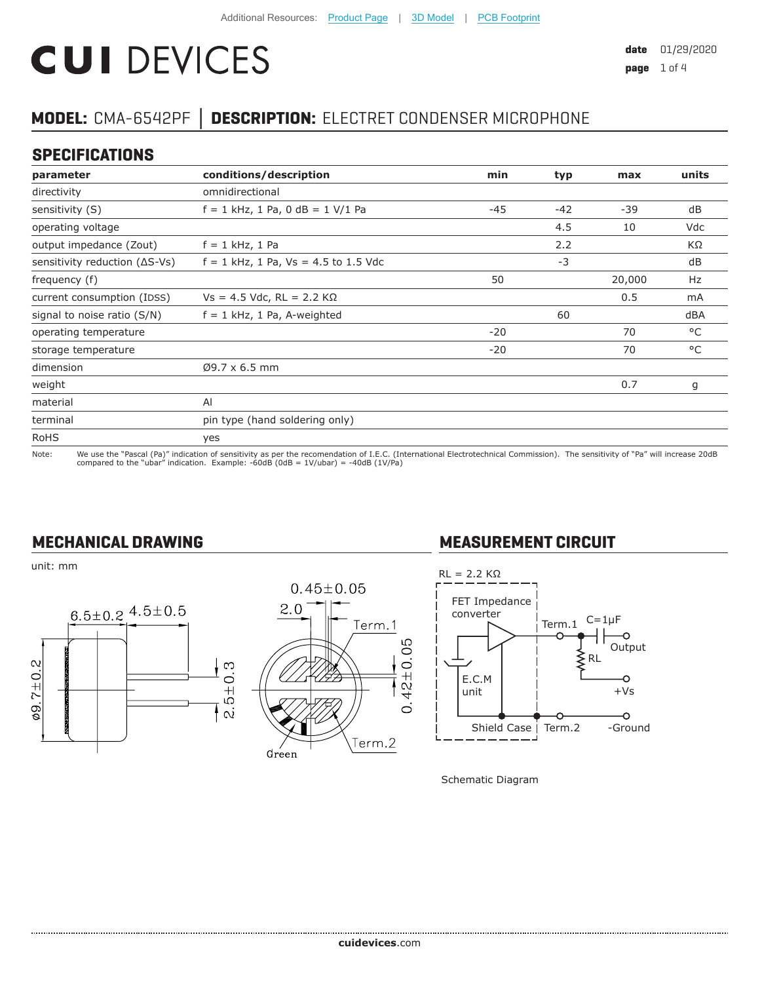# **CUI DEVICES**

# **MODEL:** CMA-6542PF **│ DESCRIPTION:** ELECTRET CONDENSER MICROPHONE

#### **SPECIFICATIONS**

| parameter                               | conditions/description                 | min   | typ   | max    | units |
|-----------------------------------------|----------------------------------------|-------|-------|--------|-------|
| directivity                             | omnidirectional                        |       |       |        |       |
| sensitivity (S)                         | $f = 1$ kHz, 1 Pa, 0 dB = 1 V/1 Pa     | $-45$ | $-42$ | $-39$  | dB    |
| operating voltage                       |                                        |       | 4.5   | 10     | Vdc   |
| output impedance (Zout)                 | $f = 1$ kHz, 1 Pa                      |       | 2.2   |        | ΚΩ    |
| sensitivity reduction $( \Delta S$ -Vs) | $f = 1$ kHz, 1 Pa, Vs = 4.5 to 1.5 Vdc |       | $-3$  |        | dB    |
| frequency (f)                           |                                        | 50    |       | 20,000 | Hz    |
| current consumption (IDSS)              | $Vs = 4.5$ Vdc, RL = 2.2 K $\Omega$    |       |       | 0.5    | mA    |
| signal to noise ratio (S/N)             | $f = 1$ kHz, 1 Pa, A-weighted          |       | 60    |        | dBA   |
| operating temperature                   |                                        | $-20$ |       | 70     | °C    |
| storage temperature                     |                                        | $-20$ |       | 70     | °C    |
| dimension                               | $Ø9.7 \times 6.5$ mm                   |       |       |        |       |
| weight                                  |                                        |       |       | 0.7    | g     |
| material                                | Al                                     |       |       |        |       |
| terminal                                | pin type (hand soldering only)         |       |       |        |       |
| <b>RoHS</b>                             | yes                                    |       |       |        |       |

Note: We use the "Pascal (Pa)" indication of sensitivity as per the recomendation of I.E.C. (International Electrotechnical Commission). The sensitivity of "Pa" will increase 20dB<br>compared to the "ubar" indication. Examp

#### **MECHANICAL DRAWING**

unit: mm





## **MEASUREMENT CIRCUIT**



Schematic Diagram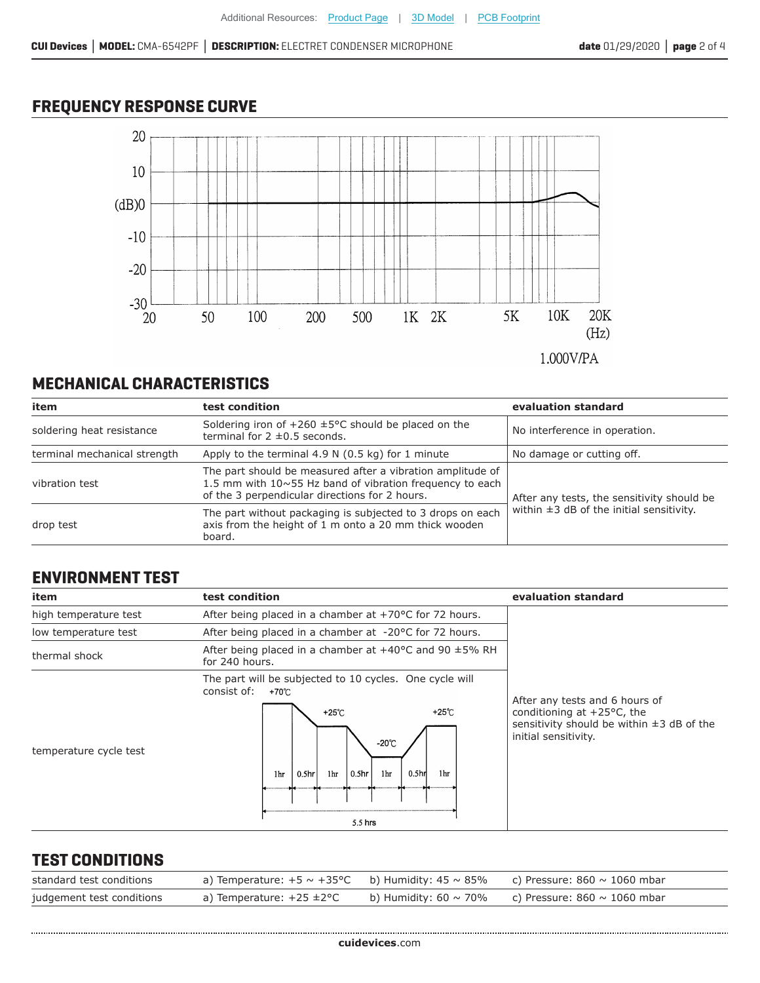# **FREQUENCY RESPONSE CURVE**



1.000V/PA

# **MECHANICAL CHARACTERISTICS**

| item                         | test condition                                                                                                                                                                  | evaluation standard                                                                         |  |
|------------------------------|---------------------------------------------------------------------------------------------------------------------------------------------------------------------------------|---------------------------------------------------------------------------------------------|--|
| soldering heat resistance    | Soldering iron of $+260 \pm 5^{\circ}$ C should be placed on the<br>terminal for $2 \pm 0.5$ seconds.                                                                           | No interference in operation.                                                               |  |
| terminal mechanical strength | Apply to the terminal 4.9 N (0.5 kg) for 1 minute                                                                                                                               | No damage or cutting off.                                                                   |  |
| vibration test               | The part should be measured after a vibration amplitude of<br>1.5 mm with $10 \sim 55$ Hz band of vibration frequency to each<br>of the 3 perpendicular directions for 2 hours. | After any tests, the sensitivity should be<br>within $\pm 3$ dB of the initial sensitivity. |  |
| drop test                    | The part without packaging is subjected to 3 drops on each<br>axis from the height of 1 m onto a 20 mm thick wooden<br>board.                                                   |                                                                                             |  |

#### **ENVIRONMENT TEST**

| item                   | test condition                                                                                                                                                                                                  | evaluation standard                                                                                                                              |
|------------------------|-----------------------------------------------------------------------------------------------------------------------------------------------------------------------------------------------------------------|--------------------------------------------------------------------------------------------------------------------------------------------------|
| high temperature test  | After being placed in a chamber at $+70^{\circ}$ C for 72 hours.                                                                                                                                                |                                                                                                                                                  |
| low temperature test   | After being placed in a chamber at -20°C for 72 hours.                                                                                                                                                          |                                                                                                                                                  |
| thermal shock          | After being placed in a chamber at $+40^{\circ}$ C and 90 $\pm 5\%$ RH<br>for 240 hours.                                                                                                                        |                                                                                                                                                  |
| temperature cycle test | The part will be subjected to 10 cycles. One cycle will<br>consist of:<br>+70℃<br>+25℃<br>+25℃<br>$-20^{\circ}$ C<br>0.5 <sub>hr</sub><br>1hr<br>1hr<br>1hr<br>$ 0.5$ hr<br>0.5 <sub>hr</sub><br>1hr<br>5.5 hrs | After any tests and 6 hours of<br>conditioning at $+25^{\circ}$ C, the<br>sensitivity should be within $\pm 3$ dB of the<br>initial sensitivity. |

#### **TEST CONDITIONS**

| standard test conditions  | a) Temperature: $+5 \sim +35^{\circ}$ C b) Humidity: $45 \sim 85\%$ c) Pressure: $860 \sim 1060$ mbar |  |
|---------------------------|-------------------------------------------------------------------------------------------------------|--|
| judgement test conditions | a) Temperature: $+25 \pm 2$ °C b) Humidity: 60 ~ 70% c) Pressure: 860 ~ 1060 mbar                     |  |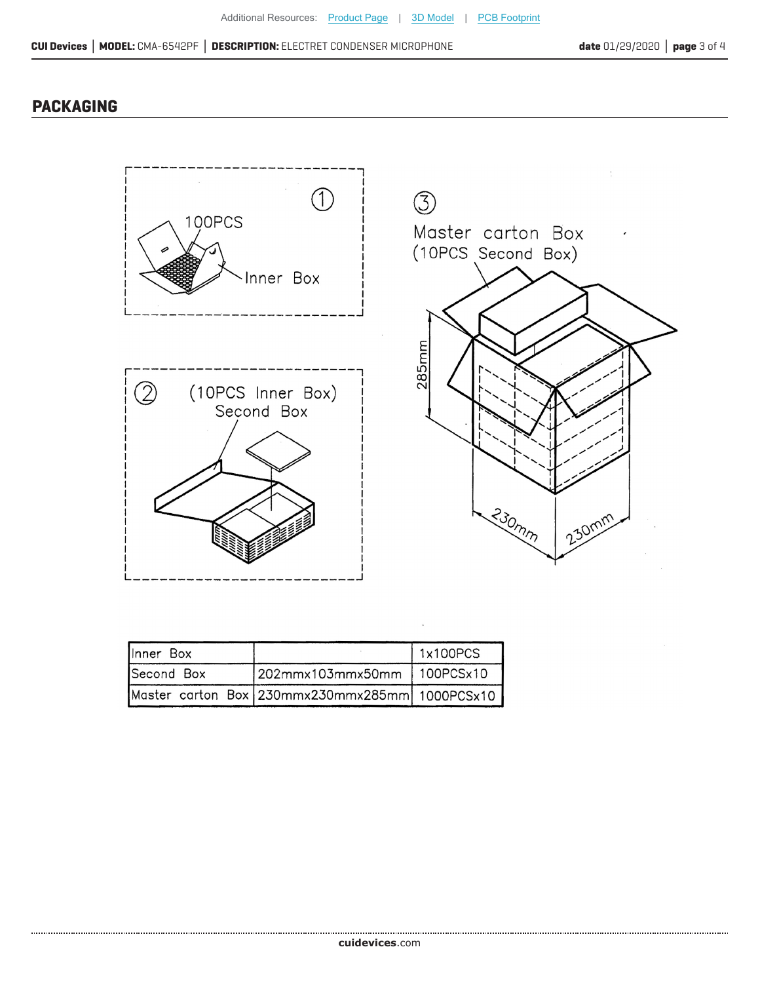## **PACKAGING**



| <b>Ilnner</b> Box |                                                | 1x100PCS |
|-------------------|------------------------------------------------|----------|
| Second Box        | 202mmx103mmx50mm   100PCSx10                   |          |
|                   | Master carton Box 230mmx230mmx285mm 1000PCSx10 |          |